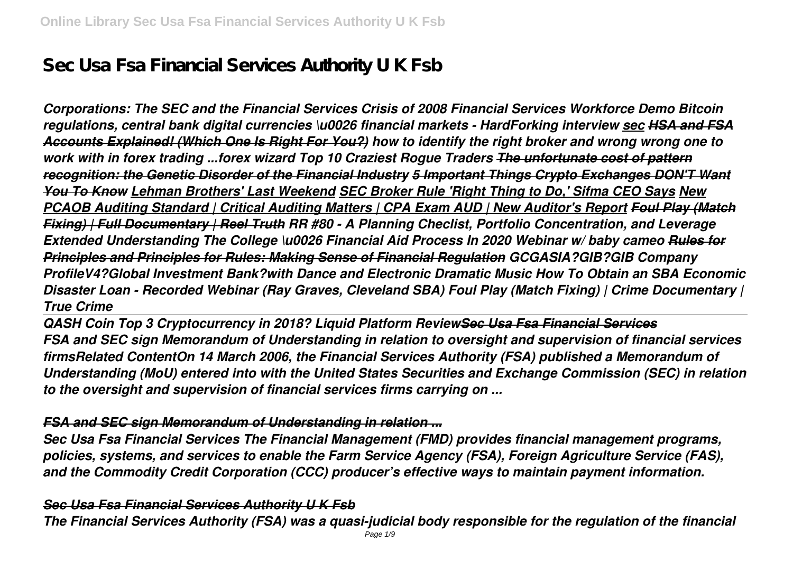# **Sec Usa Fsa Financial Services Authority U K Fsb**

*Corporations: The SEC and the Financial Services Crisis of 2008 Financial Services Workforce Demo Bitcoin regulations, central bank digital currencies \u0026 financial markets - HardForking interview sec HSA and FSA Accounts Explained! (Which One Is Right For You?) how to identify the right broker and wrong wrong one to work with in forex trading ...forex wizard Top 10 Craziest Rogue Traders The unfortunate cost of pattern recognition: the Genetic Disorder of the Financial Industry 5 Important Things Crypto Exchanges DON'T Want You To Know Lehman Brothers' Last Weekend SEC Broker Rule 'Right Thing to Do,' Sifma CEO Says New PCAOB Auditing Standard | Critical Auditing Matters | CPA Exam AUD | New Auditor's Report Foul Play (Match Fixing) | Full Documentary | Reel Truth RR #80 - A Planning Checlist, Portfolio Concentration, and Leverage Extended Understanding The College \u0026 Financial Aid Process In 2020 Webinar w/ baby cameo Rules for Principles and Principles for Rules: Making Sense of Financial Regulation GCGASIA?GIB?GIB Company ProfileV4?Global Investment Bank?with Dance and Electronic Dramatic Music How To Obtain an SBA Economic Disaster Loan - Recorded Webinar (Ray Graves, Cleveland SBA) Foul Play (Match Fixing) | Crime Documentary | True Crime*

*QASH Coin Top 3 Cryptocurrency in 2018? Liquid Platform ReviewSec Usa Fsa Financial Services FSA and SEC sign Memorandum of Understanding in relation to oversight and supervision of financial services firmsRelated ContentOn 14 March 2006, the Financial Services Authority (FSA) published a Memorandum of Understanding (MoU) entered into with the United States Securities and Exchange Commission (SEC) in relation to the oversight and supervision of financial services firms carrying on ...*

#### *FSA and SEC sign Memorandum of Understanding in relation ...*

*Sec Usa Fsa Financial Services The Financial Management (FMD) provides financial management programs, policies, systems, and services to enable the Farm Service Agency (FSA), Foreign Agriculture Service (FAS), and the Commodity Credit Corporation (CCC) producer's effective ways to maintain payment information.*

#### *Sec Usa Fsa Financial Services Authority U K Fsb*

*The Financial Services Authority (FSA) was a quasi-judicial body responsible for the regulation of the financial*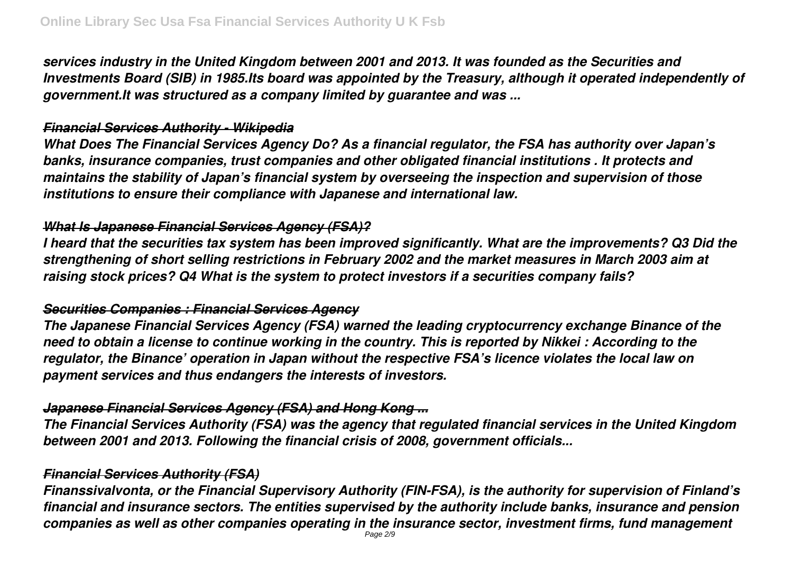*services industry in the United Kingdom between 2001 and 2013. It was founded as the Securities and Investments Board (SIB) in 1985.Its board was appointed by the Treasury, although it operated independently of government.It was structured as a company limited by guarantee and was ...*

### *Financial Services Authority - Wikipedia*

*What Does The Financial Services Agency Do? As a financial regulator, the FSA has authority over Japan's banks, insurance companies, trust companies and other obligated financial institutions . It protects and maintains the stability of Japan's financial system by overseeing the inspection and supervision of those institutions to ensure their compliance with Japanese and international law.*

### *What Is Japanese Financial Services Agency (FSA)?*

*I heard that the securities tax system has been improved significantly. What are the improvements? Q3 Did the strengthening of short selling restrictions in February 2002 and the market measures in March 2003 aim at raising stock prices? Q4 What is the system to protect investors if a securities company fails?*

### *Securities Companies : Financial Services Agency*

*The Japanese Financial Services Agency (FSA) warned the leading cryptocurrency exchange Binance of the need to obtain a license to continue working in the country. This is reported by Nikkei : According to the regulator, the Binance' operation in Japan without the respective FSA's licence violates the local law on payment services and thus endangers the interests of investors.*

### *Japanese Financial Services Agency (FSA) and Hong Kong ...*

*The Financial Services Authority (FSA) was the agency that regulated financial services in the United Kingdom between 2001 and 2013. Following the financial crisis of 2008, government officials...*

### *Financial Services Authority (FSA)*

*Finanssivalvonta, or the Financial Supervisory Authority (FIN-FSA), is the authority for supervision of Finland's financial and insurance sectors. The entities supervised by the authority include banks, insurance and pension companies as well as other companies operating in the insurance sector, investment firms, fund management*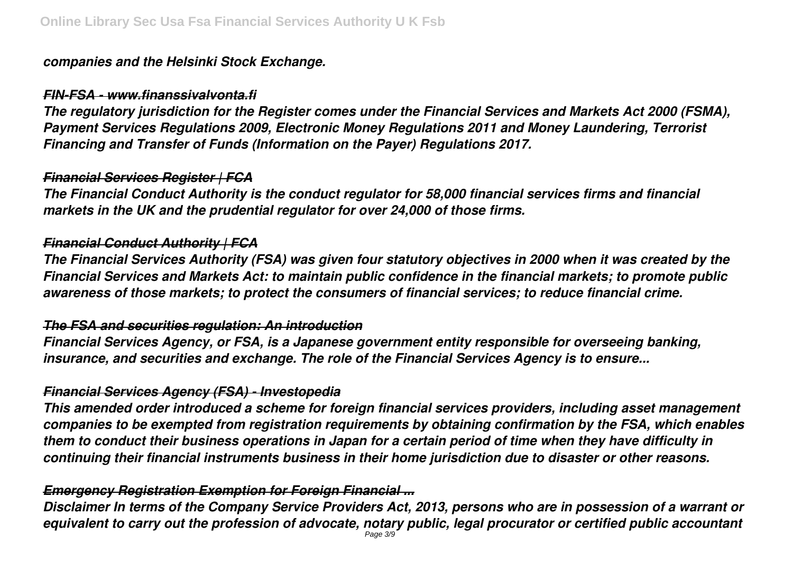### *companies and the Helsinki Stock Exchange.*

### *FIN-FSA - www.finanssivalvonta.fi*

*The regulatory jurisdiction for the Register comes under the Financial Services and Markets Act 2000 (FSMA), Payment Services Regulations 2009, Electronic Money Regulations 2011 and Money Laundering, Terrorist Financing and Transfer of Funds (Information on the Payer) Regulations 2017.*

### *Financial Services Register | FCA*

*The Financial Conduct Authority is the conduct regulator for 58,000 financial services firms and financial markets in the UK and the prudential regulator for over 24,000 of those firms.*

### *Financial Conduct Authority | FCA*

*The Financial Services Authority (FSA) was given four statutory objectives in 2000 when it was created by the Financial Services and Markets Act: to maintain public confidence in the financial markets; to promote public awareness of those markets; to protect the consumers of financial services; to reduce financial crime.*

### *The FSA and securities regulation: An introduction*

*Financial Services Agency, or FSA, is a Japanese government entity responsible for overseeing banking, insurance, and securities and exchange. The role of the Financial Services Agency is to ensure...*

### *Financial Services Agency (FSA) - Investopedia*

*This amended order introduced a scheme for foreign financial services providers, including asset management companies to be exempted from registration requirements by obtaining confirmation by the FSA, which enables them to conduct their business operations in Japan for a certain period of time when they have difficulty in continuing their financial instruments business in their home jurisdiction due to disaster or other reasons.*

### *Emergency Registration Exemption for Foreign Financial ...*

*Disclaimer In terms of the Company Service Providers Act, 2013, persons who are in possession of a warrant or equivalent to carry out the profession of advocate, notary public, legal procurator or certified public accountant* Page 3/9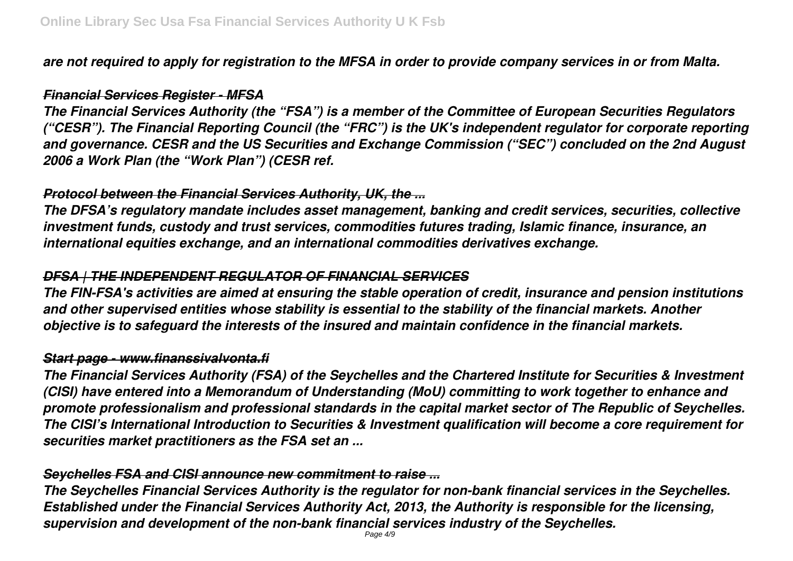*are not required to apply for registration to the MFSA in order to provide company services in or from Malta.*

#### *Financial Services Register - MFSA*

*The Financial Services Authority (the "FSA") is a member of the Committee of European Securities Regulators ("CESR"). The Financial Reporting Council (the "FRC") is the UK's independent regulator for corporate reporting and governance. CESR and the US Securities and Exchange Commission ("SEC") concluded on the 2nd August 2006 a Work Plan (the "Work Plan") (CESR ref.*

### *Protocol between the Financial Services Authority, UK, the ...*

*The DFSA's regulatory mandate includes asset management, banking and credit services, securities, collective investment funds, custody and trust services, commodities futures trading, Islamic finance, insurance, an international equities exchange, and an international commodities derivatives exchange.*

### *DFSA | THE INDEPENDENT REGULATOR OF FINANCIAL SERVICES*

*The FIN-FSA's activities are aimed at ensuring the stable operation of credit, insurance and pension institutions and other supervised entities whose stability is essential to the stability of the financial markets. Another objective is to safeguard the interests of the insured and maintain confidence in the financial markets.*

### *Start page - www.finanssivalvonta.fi*

*The Financial Services Authority (FSA) of the Seychelles and the Chartered Institute for Securities & Investment (CISI) have entered into a Memorandum of Understanding (MoU) committing to work together to enhance and promote professionalism and professional standards in the capital market sector of The Republic of Seychelles. The CISI's International Introduction to Securities & Investment qualification will become a core requirement for securities market practitioners as the FSA set an ...*

### *Seychelles FSA and CISI announce new commitment to raise ...*

*The Seychelles Financial Services Authority is the regulator for non-bank financial services in the Seychelles. Established under the Financial Services Authority Act, 2013, the Authority is responsible for the licensing, supervision and development of the non-bank financial services industry of the Seychelles.*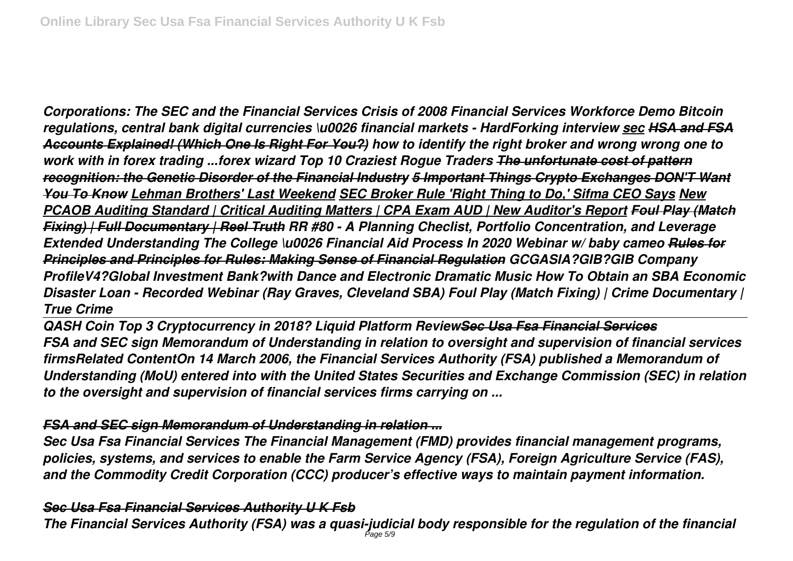*Corporations: The SEC and the Financial Services Crisis of 2008 Financial Services Workforce Demo Bitcoin regulations, central bank digital currencies \u0026 financial markets - HardForking interview sec HSA and FSA Accounts Explained! (Which One Is Right For You?) how to identify the right broker and wrong wrong one to work with in forex trading ...forex wizard Top 10 Craziest Rogue Traders The unfortunate cost of pattern recognition: the Genetic Disorder of the Financial Industry 5 Important Things Crypto Exchanges DON'T Want You To Know Lehman Brothers' Last Weekend SEC Broker Rule 'Right Thing to Do,' Sifma CEO Says New PCAOB Auditing Standard | Critical Auditing Matters | CPA Exam AUD | New Auditor's Report Foul Play (Match Fixing) | Full Documentary | Reel Truth RR #80 - A Planning Checlist, Portfolio Concentration, and Leverage Extended Understanding The College \u0026 Financial Aid Process In 2020 Webinar w/ baby cameo Rules for Principles and Principles for Rules: Making Sense of Financial Regulation GCGASIA?GIB?GIB Company ProfileV4?Global Investment Bank?with Dance and Electronic Dramatic Music How To Obtain an SBA Economic Disaster Loan - Recorded Webinar (Ray Graves, Cleveland SBA) Foul Play (Match Fixing) | Crime Documentary | True Crime*

*QASH Coin Top 3 Cryptocurrency in 2018? Liquid Platform ReviewSec Usa Fsa Financial Services FSA and SEC sign Memorandum of Understanding in relation to oversight and supervision of financial services firmsRelated ContentOn 14 March 2006, the Financial Services Authority (FSA) published a Memorandum of Understanding (MoU) entered into with the United States Securities and Exchange Commission (SEC) in relation to the oversight and supervision of financial services firms carrying on ...*

#### *FSA and SEC sign Memorandum of Understanding in relation ...*

*Sec Usa Fsa Financial Services The Financial Management (FMD) provides financial management programs, policies, systems, and services to enable the Farm Service Agency (FSA), Foreign Agriculture Service (FAS), and the Commodity Credit Corporation (CCC) producer's effective ways to maintain payment information.*

#### *Sec Usa Fsa Financial Services Authority U K Fsb*

*The Financial Services Authority (FSA) was a quasi-judicial body responsible for the regulation of the financial* Page 5/9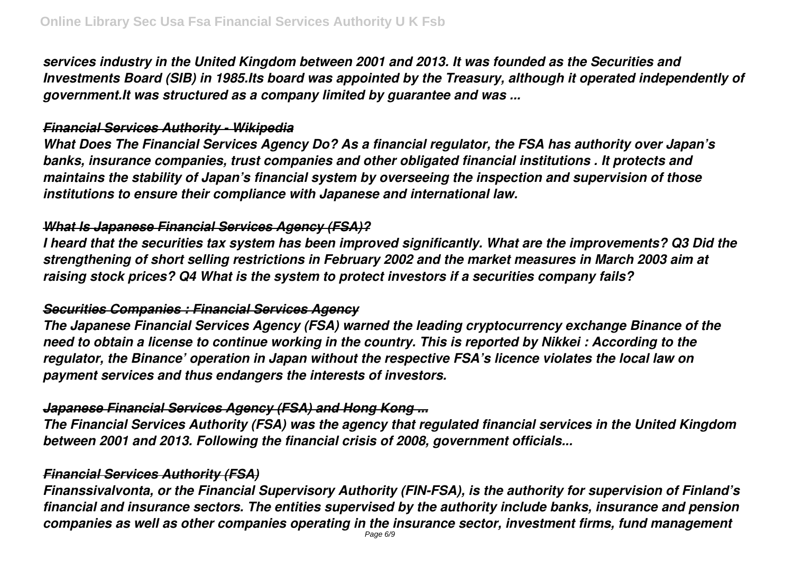*services industry in the United Kingdom between 2001 and 2013. It was founded as the Securities and Investments Board (SIB) in 1985.Its board was appointed by the Treasury, although it operated independently of government.It was structured as a company limited by guarantee and was ...*

### *Financial Services Authority - Wikipedia*

*What Does The Financial Services Agency Do? As a financial regulator, the FSA has authority over Japan's banks, insurance companies, trust companies and other obligated financial institutions . It protects and maintains the stability of Japan's financial system by overseeing the inspection and supervision of those institutions to ensure their compliance with Japanese and international law.*

### *What Is Japanese Financial Services Agency (FSA)?*

*I heard that the securities tax system has been improved significantly. What are the improvements? Q3 Did the strengthening of short selling restrictions in February 2002 and the market measures in March 2003 aim at raising stock prices? Q4 What is the system to protect investors if a securities company fails?*

### *Securities Companies : Financial Services Agency*

*The Japanese Financial Services Agency (FSA) warned the leading cryptocurrency exchange Binance of the need to obtain a license to continue working in the country. This is reported by Nikkei : According to the regulator, the Binance' operation in Japan without the respective FSA's licence violates the local law on payment services and thus endangers the interests of investors.*

### *Japanese Financial Services Agency (FSA) and Hong Kong ...*

*The Financial Services Authority (FSA) was the agency that regulated financial services in the United Kingdom between 2001 and 2013. Following the financial crisis of 2008, government officials...*

### *Financial Services Authority (FSA)*

*Finanssivalvonta, or the Financial Supervisory Authority (FIN-FSA), is the authority for supervision of Finland's financial and insurance sectors. The entities supervised by the authority include banks, insurance and pension companies as well as other companies operating in the insurance sector, investment firms, fund management*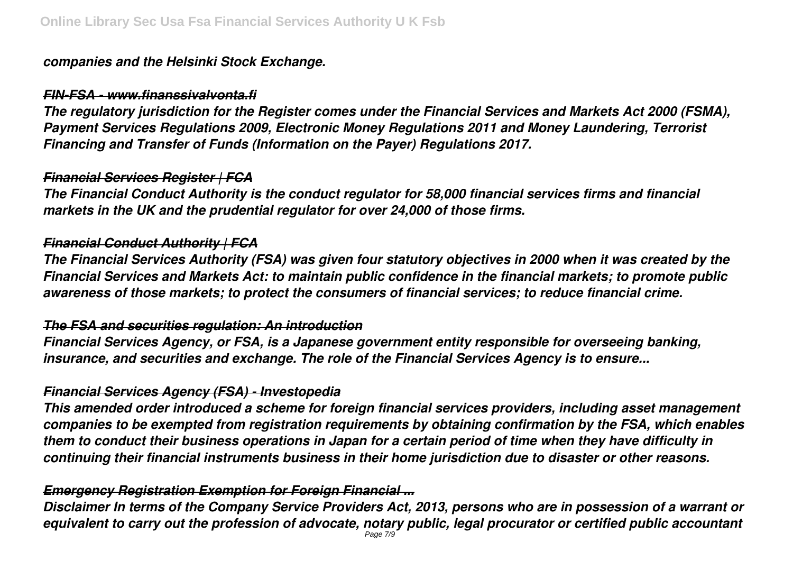### *companies and the Helsinki Stock Exchange.*

### *FIN-FSA - www.finanssivalvonta.fi*

*The regulatory jurisdiction for the Register comes under the Financial Services and Markets Act 2000 (FSMA), Payment Services Regulations 2009, Electronic Money Regulations 2011 and Money Laundering, Terrorist Financing and Transfer of Funds (Information on the Payer) Regulations 2017.*

### *Financial Services Register | FCA*

*The Financial Conduct Authority is the conduct regulator for 58,000 financial services firms and financial markets in the UK and the prudential regulator for over 24,000 of those firms.*

### *Financial Conduct Authority | FCA*

*The Financial Services Authority (FSA) was given four statutory objectives in 2000 when it was created by the Financial Services and Markets Act: to maintain public confidence in the financial markets; to promote public awareness of those markets; to protect the consumers of financial services; to reduce financial crime.*

### *The FSA and securities regulation: An introduction*

*Financial Services Agency, or FSA, is a Japanese government entity responsible for overseeing banking, insurance, and securities and exchange. The role of the Financial Services Agency is to ensure...*

### *Financial Services Agency (FSA) - Investopedia*

*This amended order introduced a scheme for foreign financial services providers, including asset management companies to be exempted from registration requirements by obtaining confirmation by the FSA, which enables them to conduct their business operations in Japan for a certain period of time when they have difficulty in continuing their financial instruments business in their home jurisdiction due to disaster or other reasons.*

### *Emergency Registration Exemption for Foreign Financial ...*

*Disclaimer In terms of the Company Service Providers Act, 2013, persons who are in possession of a warrant or equivalent to carry out the profession of advocate, notary public, legal procurator or certified public accountant* Page 7/9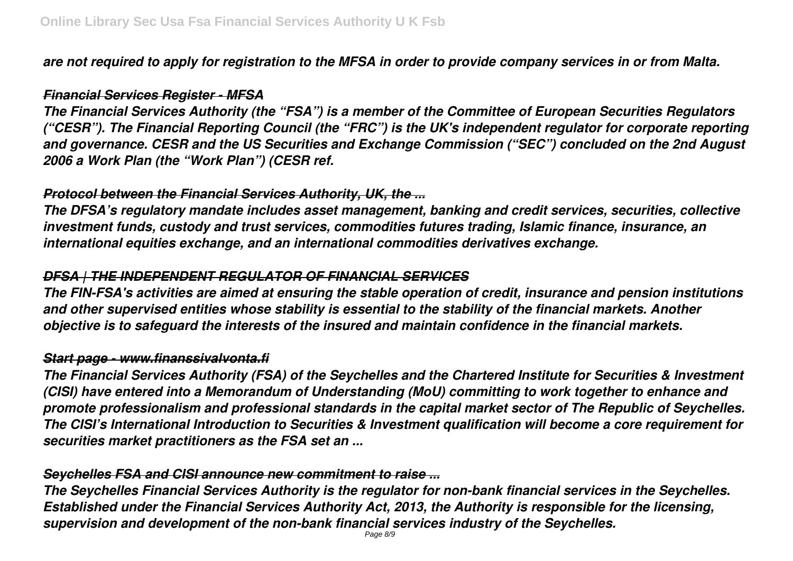*are not required to apply for registration to the MFSA in order to provide company services in or from Malta.*

#### *Financial Services Register - MFSA*

*The Financial Services Authority (the "FSA") is a member of the Committee of European Securities Regulators ("CESR"). The Financial Reporting Council (the "FRC") is the UK's independent regulator for corporate reporting and governance. CESR and the US Securities and Exchange Commission ("SEC") concluded on the 2nd August 2006 a Work Plan (the "Work Plan") (CESR ref.*

### *Protocol between the Financial Services Authority, UK, the ...*

*The DFSA's regulatory mandate includes asset management, banking and credit services, securities, collective investment funds, custody and trust services, commodities futures trading, Islamic finance, insurance, an international equities exchange, and an international commodities derivatives exchange.*

### *DFSA | THE INDEPENDENT REGULATOR OF FINANCIAL SERVICES*

*The FIN-FSA's activities are aimed at ensuring the stable operation of credit, insurance and pension institutions and other supervised entities whose stability is essential to the stability of the financial markets. Another objective is to safeguard the interests of the insured and maintain confidence in the financial markets.*

### *Start page - www.finanssivalvonta.fi*

*The Financial Services Authority (FSA) of the Seychelles and the Chartered Institute for Securities & Investment (CISI) have entered into a Memorandum of Understanding (MoU) committing to work together to enhance and promote professionalism and professional standards in the capital market sector of The Republic of Seychelles. The CISI's International Introduction to Securities & Investment qualification will become a core requirement for securities market practitioners as the FSA set an ...*

### *Seychelles FSA and CISI announce new commitment to raise ...*

*The Seychelles Financial Services Authority is the regulator for non-bank financial services in the Seychelles. Established under the Financial Services Authority Act, 2013, the Authority is responsible for the licensing, supervision and development of the non-bank financial services industry of the Seychelles.*